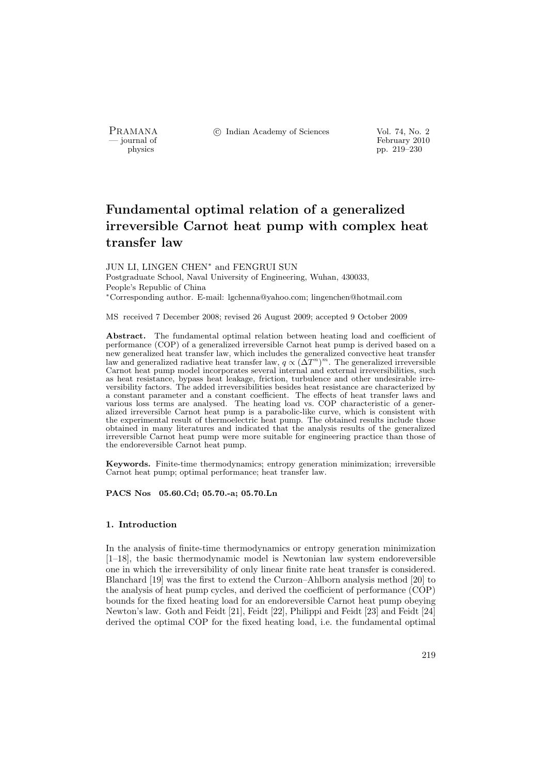PRAMANA °c Indian Academy of Sciences Vol. 74, No. 2

physics<br>
and the settlement of February 2010<br>
pp. 219–230<br>
pp. 219–230 pp. 219–230

# Fundamental optimal relation of a generalized irreversible Carnot heat pump with complex heat transfer law

JUN LI, LINGEN CHEN<sup>∗</sup> and FENGRUI SUN Postgraduate School, Naval University of Engineering, Wuhan, 430033, People's Republic of China <sup>∗</sup>Corresponding author. E-mail: lgchenna@yahoo.com; lingenchen@hotmail.com

MS received 7 December 2008; revised 26 August 2009; accepted 9 October 2009

Abstract. The fundamental optimal relation between heating load and coefficient of performance (COP) of a generalized irreversible Carnot heat pump is derived based on a new generalized heat transfer law, which includes the generalized convective heat transfer law and generalized radiative heat transfer law,  $q \propto (\Delta T^n)^m$ . The generalized irreversible Carnot heat pump model incorporates several internal and external irreversibilities, such as heat resistance, bypass heat leakage, friction, turbulence and other undesirable irreversibility factors. The added irreversibilities besides heat resistance are characterized by a constant parameter and a constant coefficient. The effects of heat transfer laws and various loss terms are analysed. The heating load vs. COP characteristic of a generalized irreversible Carnot heat pump is a parabolic-like curve, which is consistent with the experimental result of thermoelectric heat pump. The obtained results include those obtained in many literatures and indicated that the analysis results of the generalized irreversible Carnot heat pump were more suitable for engineering practice than those of the endoreversible Carnot heat pump.

Keywords. Finite-time thermodynamics; entropy generation minimization; irreversible Carnot heat pump; optimal performance; heat transfer law.

PACS Nos 05.60.Cd; 05.70.-a; 05.70.Ln

#### 1. Introduction

In the analysis of finite-time thermodynamics or entropy generation minimization [1–18], the basic thermodynamic model is Newtonian law system endoreversible one in which the irreversibility of only linear finite rate heat transfer is considered. Blanchard [19] was the first to extend the Curzon–Ahlborn analysis method [20] to the analysis of heat pump cycles, and derived the coefficient of performance (COP) bounds for the fixed heating load for an endoreversible Carnot heat pump obeying Newton's law. Goth and Feidt [21], Feidt [22], Philippi and Feidt [23] and Feidt [24] derived the optimal COP for the fixed heating load, i.e. the fundamental optimal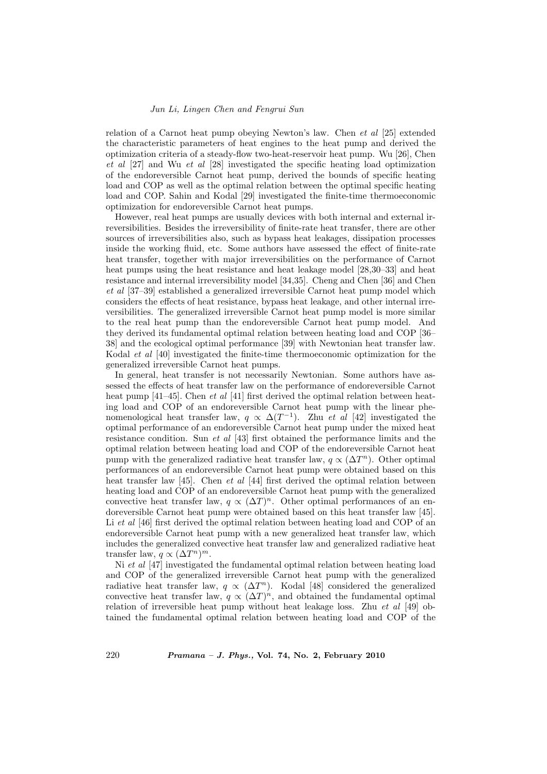## Jun Li, Lingen Chen and Fengrui Sun

relation of a Carnot heat pump obeying Newton's law. Chen et al [25] extended the characteristic parameters of heat engines to the heat pump and derived the optimization criteria of a steady-flow two-heat-reservoir heat pump. Wu [26], Chen et al [27] and Wu et al [28] investigated the specific heating load optimization of the endoreversible Carnot heat pump, derived the bounds of specific heating load and COP as well as the optimal relation between the optimal specific heating load and COP. Sahin and Kodal [29] investigated the finite-time thermoeconomic optimization for endoreversible Carnot heat pumps.

However, real heat pumps are usually devices with both internal and external irreversibilities. Besides the irreversibility of finite-rate heat transfer, there are other sources of irreversibilities also, such as bypass heat leakages, dissipation processes inside the working fluid, etc. Some authors have assessed the effect of finite-rate heat transfer, together with major irreversibilities on the performance of Carnot heat pumps using the heat resistance and heat leakage model [28,30–33] and heat resistance and internal irreversibility model [34,35]. Cheng and Chen [36] and Chen et al [37–39] established a generalized irreversible Carnot heat pump model which considers the effects of heat resistance, bypass heat leakage, and other internal irreversibilities. The generalized irreversible Carnot heat pump model is more similar to the real heat pump than the endoreversible Carnot heat pump model. And they derived its fundamental optimal relation between heating load and COP [36– 38] and the ecological optimal performance [39] with Newtonian heat transfer law. Kodal et al [40] investigated the finite-time thermoeconomic optimization for the generalized irreversible Carnot heat pumps.

In general, heat transfer is not necessarily Newtonian. Some authors have assessed the effects of heat transfer law on the performance of endoreversible Carnot heat pump [41–45]. Chen *et al* [41] first derived the optimal relation between heating load and COP of an endoreversible Carnot heat pump with the linear phenomenological heat transfer law,  $q \propto \Delta(T^{-1})$ . Zhu *et al* [42] investigated the optimal performance of an endoreversible Carnot heat pump under the mixed heat resistance condition. Sun et al [43] first obtained the performance limits and the optimal relation between heating load and COP of the endoreversible Carnot heat pump with the generalized radiative heat transfer law,  $q \propto (\Delta T^n)$ . Other optimal performances of an endoreversible Carnot heat pump were obtained based on this heat transfer law [45]. Chen et al [44] first derived the optimal relation between heating load and COP of an endoreversible Carnot heat pump with the generalized convective heat transfer law,  $q \propto (\Delta T)^n$ . Other optimal performances of an endoreversible Carnot heat pump were obtained based on this heat transfer law [45]. Li et al [46] first derived the optimal relation between heating load and COP of an endoreversible Carnot heat pump with a new generalized heat transfer law, which includes the generalized convective heat transfer law and generalized radiative heat transfer law,  $q \propto (\Delta T^n)^m$ .

Ni et al [47] investigated the fundamental optimal relation between heating load and COP of the generalized irreversible Carnot heat pump with the generalized radiative heat transfer law,  $q \propto (\Delta T^n)$ . Kodal [48] considered the generalized convective heat transfer law,  $q \propto (\Delta T)^n$ , and obtained the fundamental optimal relation of irreversible heat pump without heat leakage loss. Zhu et al [49] obtained the fundamental optimal relation between heating load and COP of the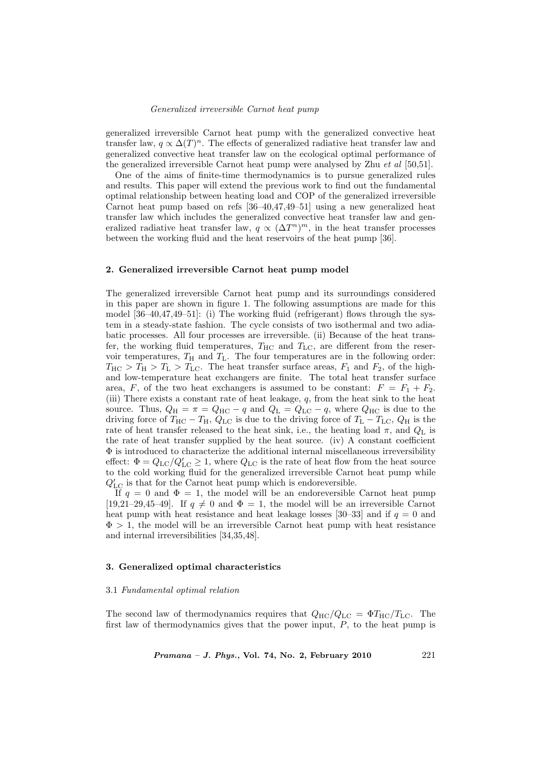generalized irreversible Carnot heat pump with the generalized convective heat transfer law,  $q \propto \Delta(T)^n$ . The effects of generalized radiative heat transfer law and generalized convective heat transfer law on the ecological optimal performance of the generalized irreversible Carnot heat pump were analysed by Zhu et al [50,51].

One of the aims of finite-time thermodynamics is to pursue generalized rules and results. This paper will extend the previous work to find out the fundamental optimal relationship between heating load and COP of the generalized irreversible Carnot heat pump based on refs [36–40,47,49–51] using a new generalized heat transfer law which includes the generalized convective heat transfer law and generalized radiative heat transfer law,  $q \propto (\Delta T^n)^m$ , in the heat transfer processes between the working fluid and the heat reservoirs of the heat pump [36].

#### 2. Generalized irreversible Carnot heat pump model

The generalized irreversible Carnot heat pump and its surroundings considered in this paper are shown in figure 1. The following assumptions are made for this model  $[36-40,47,49-51]$ : (i) The working fluid (refrigerant) flows through the system in a steady-state fashion. The cycle consists of two isothermal and two adiabatic processes. All four processes are irreversible. (ii) Because of the heat transfer, the working fluid temperatures,  $T_{\text{HC}}$  and  $T_{\text{LC}}$ , are different from the reservoir temperatures,  $T_H$  and  $T_L$ . The four temperatures are in the following order:  $T_{\text{HC}} > T_{\text{H}} > T_{\text{LC}}$ . The heat transfer surface areas,  $F_1$  and  $F_2$ , of the highand low-temperature heat exchangers are finite. The total heat transfer surface area, F, of the two heat exchangers is assumed to be constant:  $F = F_1 + F_2$ . (iii) There exists a constant rate of heat leakage,  $q$ , from the heat sink to the heat source. Thus,  $Q_H = \pi = Q_{HC} - q$  and  $Q_L = Q_{LC} - q$ , where  $Q_{HC}$  is due to the driving force of  $T_{\text{HC}} - T_{\text{H}}$ ,  $Q_{\text{LC}}$  is due to the driving force of  $T_{\text{L}} - T_{\text{LC}}$ ,  $Q_{\text{H}}$  is the rate of heat transfer released to the heat sink, i.e., the heating load  $\pi$ , and  $Q_L$  is the rate of heat transfer supplied by the heat source. (iv) A constant coefficient  $\Phi$  is introduced to characterize the additional internal miscellaneous irreversibility effect:  $\Phi = Q_{\rm LC}/Q'_{\rm LC} \ge 1$ , where  $Q_{\rm LC}$  is the rate of heat flow from the heat source to the cold working fluid for the generalized irreversible Carnot heat pump while  $Q'_{\rm LC}$  is that for the Carnot heat pump which is endore<br>versible.

If  $q = 0$  and  $\Phi = 1$ , the model will be an endoreversible Carnot heat pump [19,21–29,45–49]. If  $q \neq 0$  and  $\Phi = 1$ , the model will be an irreversible Carnot heat pump with heat resistance and heat leakage losses [30–33] and if  $q = 0$  and  $\Phi > 1$ , the model will be an irreversible Carnot heat pump with heat resistance and internal irreversibilities [34,35,48].

# 3. Generalized optimal characteristics

#### 3.1 Fundamental optimal relation

The second law of thermodynamics requires that  $Q_{\text{HC}}/Q_{\text{LC}} = \Phi T_{\text{HC}}/T_{\text{LC}}$ . The first law of thermodynamics gives that the power input,  $P$ , to the heat pump is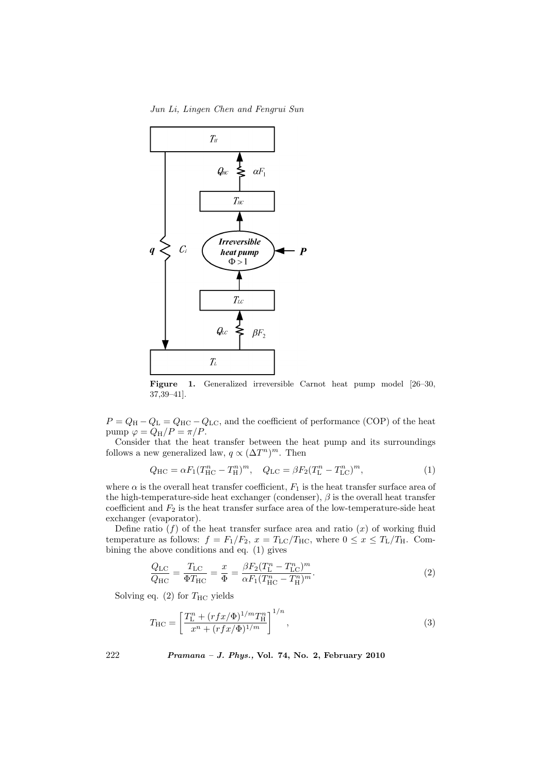Jun Li, Lingen Chen and Fengrui Sun



Figure 1. Generalized irreversible Carnot heat pump model [26–30, 37,39–41].

 $P = Q_{\rm H} - Q_{\rm L} = Q_{\rm HC} - Q_{\rm LC}$ , and the coefficient of performance (COP) of the heat pump  $\varphi = Q_{\rm H}/P = \pi/P$ .

Consider that the heat transfer between the heat pump and its surroundings follows a new generalized law,  $q \propto (\Delta T^n)^m$ . Then

$$
Q_{\rm HC} = \alpha F_1 (T_{\rm HC}^n - T_{\rm H}^n)^m, \quad Q_{\rm LC} = \beta F_2 (T_{\rm L}^n - T_{\rm LC}^n)^m, \tag{1}
$$

where  $\alpha$  is the overall heat transfer coefficient,  $F_1$  is the heat transfer surface area of the high-temperature-side heat exchanger (condenser),  $\beta$  is the overall heat transfer coefficient and  $F_2$  is the heat transfer surface area of the low-temperature-side heat exchanger (evaporator).

Define ratio  $(f)$  of the heat transfer surface area and ratio  $(x)$  of working fluid temperature as follows:  $f = F_1/F_2$ ,  $x = T_{LC}/T_{HC}$ , where  $0 \le x \le T_L/T_H$ . Combining the above conditions and eq. (1) gives

$$
\frac{Q_{\rm LC}}{Q_{\rm HC}} = \frac{T_{\rm LC}}{\Phi T_{\rm HC}} = \frac{x}{\Phi} = \frac{\beta F_2 (T_{\rm L}^n - T_{\rm LC}^n)^m}{\alpha F_1 (T_{\rm HC}^n - T_{\rm H}^n)^m}.
$$
\n(2)

Solving eq. (2) for  $T_{\text{HC}}$  yields

$$
T_{\rm HC} = \left[ \frac{T_{\rm L}^n + (rfx/\Phi)^{1/m} T_{\rm H}^n}{x^n + (rfx/\Phi)^{1/m}} \right]^{1/n},\tag{3}
$$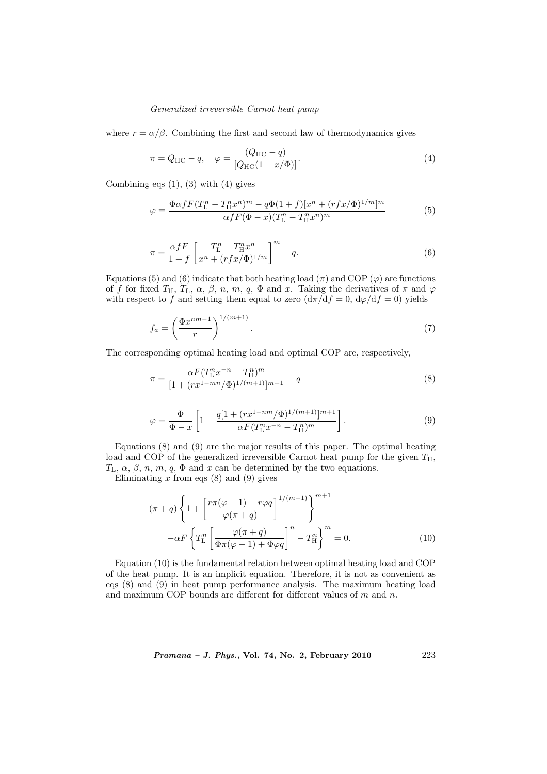where  $r = \alpha/\beta$ . Combining the first and second law of thermodynamics gives

$$
\pi = Q_{\rm HC} - q, \quad \varphi = \frac{(Q_{\rm HC} - q)}{[Q_{\rm HC}(1 - x/\Phi)]}.
$$
\n(4)

Combining eqs  $(1)$ ,  $(3)$  with  $(4)$  gives

$$
\varphi = \frac{\Phi \alpha f F (T_{\rm L}^n - T_{\rm H}^n x^n)^m - q \Phi (1+f) [x^n + (rfx/\Phi)^{1/m}]^m}{\alpha f F (\Phi - x) (T_{\rm L}^n - T_{\rm H}^n x^n)^m}
$$
(5)

$$
\pi = \frac{\alpha f F}{1 + f} \left[ \frac{T_{\rm L}^n - T_{\rm H}^n x^n}{x^n + (r f x / \Phi)^{1/m}} \right]^m - q.
$$
\n(6)

Equations (5) and (6) indicate that both heating load ( $\pi$ ) and COP ( $\varphi$ ) are functions of f for fixed  $T_H$ ,  $T_L$ ,  $\alpha$ ,  $\beta$ ,  $n$ ,  $m$ ,  $q$ ,  $\Phi$  and x. Taking the derivatives of  $\pi$  and  $\varphi$ with respect to f and setting them equal to zero  $(d\pi/df = 0, d\varphi/df = 0)$  yields

$$
f_a = \left(\frac{\Phi x^{nm-1}}{r}\right)^{1/(m+1)}.\tag{7}
$$

The corresponding optimal heating load and optimal COP are, respectively,

$$
\pi = \frac{\alpha F (T_{\rm L}^n x^{-n} - T_{\rm H}^n)^m}{[1 + (rx^{1 - mn}/\Phi)^{1/(m+1)}]^{m+1}} - q
$$
\n(8)

$$
\varphi = \frac{\Phi}{\Phi - x} \left[ 1 - \frac{q[1 + (rx^{1-nm}/\Phi)^{1/(m+1)}]^{m+1}}{\alpha F (T_{\rm L}^n x^{-n} - T_{\rm H}^n)^m} \right].
$$
\n(9)

Equations (8) and (9) are the major results of this paper. The optimal heating load and COP of the generalized irreversible Carnot heat pump for the given  $T_H$ ,  $T_L$ ,  $\alpha$ ,  $\beta$ ,  $n$ ,  $m$ ,  $q$ ,  $\Phi$  and  $x$  can be determined by the two equations.

Eliminating  $x$  from eqs  $(8)$  and  $(9)$  gives

$$
(\pi + q) \left\{ 1 + \left[ \frac{r\pi(\varphi - 1) + r\varphi q}{\varphi(\pi + q)} \right]^{1/(m+1)} \right\}^{m+1}
$$

$$
- \alpha F \left\{ T_L^n \left[ \frac{\varphi(\pi + q)}{\Phi \pi(\varphi - 1) + \Phi \varphi q} \right]^n - T_H^n \right\}^m = 0.
$$
 (10)

Equation (10) is the fundamental relation between optimal heating load and COP of the heat pump. It is an implicit equation. Therefore, it is not as convenient as eqs (8) and (9) in heat pump performance analysis. The maximum heating load and maximum COP bounds are different for different values of  $m$  and  $n$ .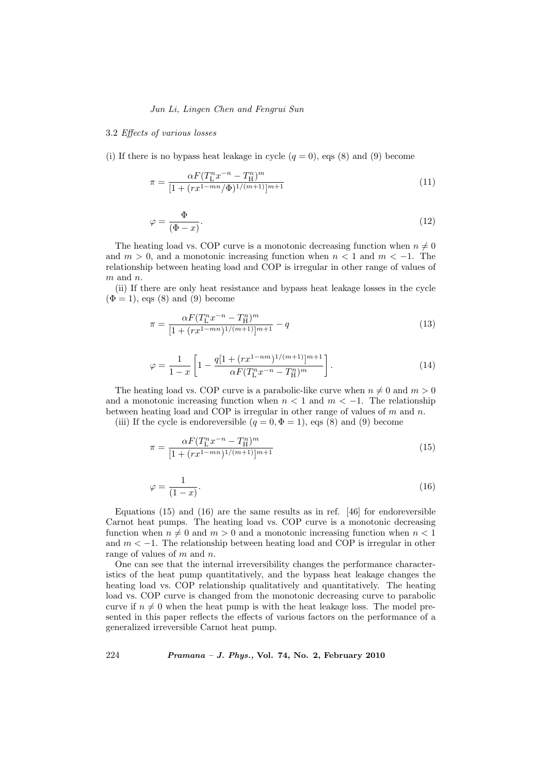# Jun Li, Lingen Chen and Fengrui Sun

#### 3.2 Effects of various losses

(i) If there is no bypass heat leakage in cycle  $(q = 0)$ , eqs (8) and (9) become

$$
\pi = \frac{\alpha F (T_{\rm L}^n x^{-n} - T_{\rm H}^n)^m}{[1 + (r x^{1 - mn} / \Phi)^{1/(m+1)}]^{m+1}} \tag{11}
$$

$$
\varphi = \frac{\Phi}{(\Phi - x)}.\tag{12}
$$

The heating load vs. COP curve is a monotonic decreasing function when  $n \neq 0$ and  $m > 0$ , and a monotonic increasing function when  $n < 1$  and  $m < -1$ . The relationship between heating load and COP is irregular in other range of values of  $m$  and  $n$ .

(ii) If there are only heat resistance and bypass heat leakage losses in the cycle  $(\Phi = 1)$ , eqs  $(8)$  and  $(9)$  become

$$
\pi = \frac{\alpha F (T_{\rm L}^n x^{-n} - T_{\rm H}^n)^m}{[1 + (r x^{1 - mn})^{1/(m+1)}]^{m+1}} - q \tag{13}
$$

$$
\varphi = \frac{1}{1-x} \left[ 1 - \frac{q[1 + (rx^{1-nm})^{1/(m+1)}]^{m+1}}{\alpha F(T_1^n x^{-n} - T_{\text{H}}^n)^m} \right]. \tag{14}
$$

The heating load vs. COP curve is a parabolic-like curve when  $n \neq 0$  and  $m > 0$ and a monotonic increasing function when  $n < 1$  and  $m < -1$ . The relationship between heating load and COP is irregular in other range of values of  $m$  and  $n$ .

(iii) If the cycle is endoreversible  $(q = 0, \Phi = 1)$ , eqs (8) and (9) become

$$
\pi = \frac{\alpha F (T_{\rm L}^n x^{-n} - T_{\rm H}^n)^m}{[1 + (r x^{1 - mn})^{1/(m+1)}]^{m+1}} \tag{15}
$$

$$
\varphi = \frac{1}{(1-x)}.\tag{16}
$$

Equations (15) and (16) are the same results as in ref. [46] for endoreversible Carnot heat pumps. The heating load vs. COP curve is a monotonic decreasing function when  $n \neq 0$  and  $m > 0$  and a monotonic increasing function when  $n < 1$ and  $m < -1$ . The relationship between heating load and COP is irregular in other range of values of m and n.

One can see that the internal irreversibility changes the performance characteristics of the heat pump quantitatively, and the bypass heat leakage changes the heating load vs. COP relationship qualitatively and quantitatively. The heating load vs. COP curve is changed from the monotonic decreasing curve to parabolic curve if  $n \neq 0$  when the heat pump is with the heat leakage loss. The model presented in this paper reflects the effects of various factors on the performance of a generalized irreversible Carnot heat pump.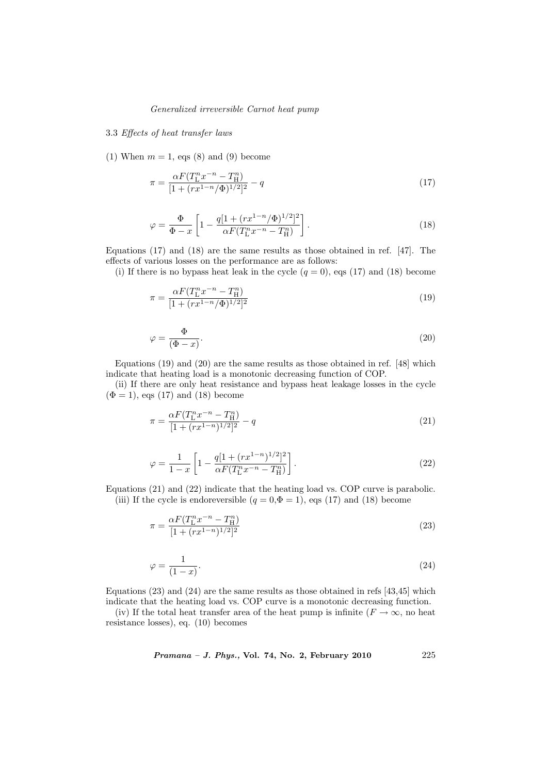# 3.3 Effects of heat transfer laws

(1) When  $m = 1$ , eqs (8) and (9) become

$$
\pi = \frac{\alpha F (T_{\rm L}^n x^{-n} - T_{\rm H}^n)}{[1 + (r x^{1-n}/\Phi)^{1/2}]^2} - q \tag{17}
$$

$$
\varphi = \frac{\Phi}{\Phi - x} \left[ 1 - \frac{q[1 + (rx^{1-n}/\Phi)^{1/2}]^2}{\alpha F(T_L^n x^{-n} - T_H^n)} \right].
$$
\n(18)

Equations (17) and (18) are the same results as those obtained in ref. [47]. The effects of various losses on the performance are as follows:

(i) If there is no bypass heat leak in the cycle  $(q = 0)$ , eqs (17) and (18) become

$$
\pi = \frac{\alpha F (T_{\rm L}^n x^{-n} - T_{\rm H}^n)}{[1 + (r x^{1-n}/\Phi)^{1/2}]^2} \tag{19}
$$

$$
\varphi = \frac{\Phi}{(\Phi - x)}.\tag{20}
$$

Equations (19) and (20) are the same results as those obtained in ref. [48] which indicate that heating load is a monotonic decreasing function of COP.

(ii) If there are only heat resistance and bypass heat leakage losses in the cycle  $(\Phi = 1)$ , eqs (17) and (18) become

$$
\pi = \frac{\alpha F (T_{\rm L}^n x^{-n} - T_{\rm H}^n)}{[1 + (r x^{1-n})^{1/2}]^2} - q \tag{21}
$$

$$
\varphi = \frac{1}{1-x} \left[ 1 - \frac{q[1 + (rx^{1-n})^{1/2}]^2}{\alpha F(T_L^n x^{-n} - T_H^n)} \right].
$$
\n(22)

Equations (21) and (22) indicate that the heating load vs. COP curve is parabolic. (iii) If the cycle is endoreversible  $(q = 0, \Phi = 1)$ , eqs (17) and (18) become

$$
\pi = \frac{\alpha F (T_{\rm L}^n x^{-n} - T_{\rm H}^n)}{[1 + (r x^{1-n})^{1/2}]^2} \tag{23}
$$

$$
\varphi = \frac{1}{(1-x)}.\tag{24}
$$

Equations (23) and (24) are the same results as those obtained in refs [43,45] which indicate that the heating load vs. COP curve is a monotonic decreasing function.

(iv) If the total heat transfer area of the heat pump is infinite ( $F \to \infty$ , no heat resistance losses), eq. (10) becomes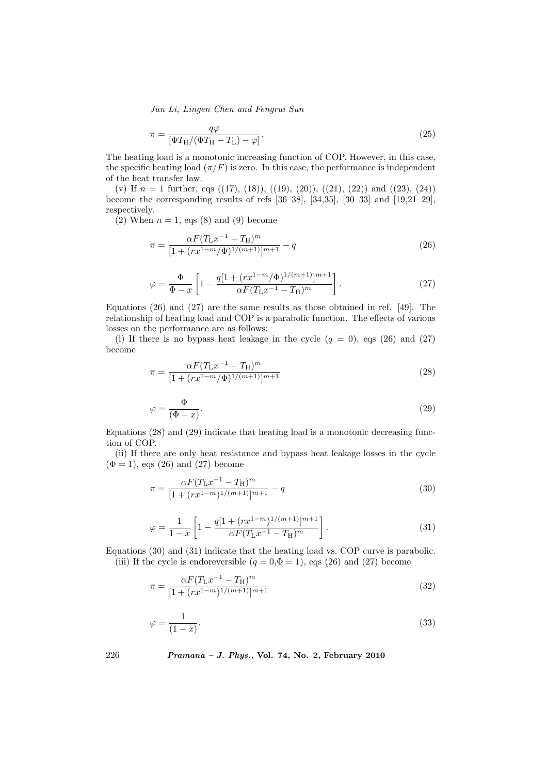Jun Li, Lingen Chen and Fengrui Sun

$$
\pi = \frac{q\varphi}{\left[\Phi T_{\rm H}/(\Phi T_{\rm H} - T_{\rm L}) - \varphi\right]}.\tag{25}
$$

The heating load is a monotonic increasing function of COP. However, in this case, the specific heating load  $(\pi/F)$  is zero. In this case, the performance is independent of the heat transfer law.

(v) If  $n = 1$  further, eqs ((17), (18)), ((19), (20)), ((21), (22)) and ((23), (24)) become the corresponding results of refs [36–38], [34,35], [30–33] and [19,21–29], respectively.

(2) When  $n = 1$ , eqs (8) and (9) become

$$
\pi = \frac{\alpha F (T_{\rm L} x^{-1} - T_{\rm H})^m}{[1 + (r x^{1-m}/\Phi)^{1/(m+1)}]^{m+1}} - q
$$
\n(26)

$$
\varphi = \frac{\Phi}{\Phi - x} \left[ 1 - \frac{q[1 + (rx^{1-m}/\Phi)^{1/(m+1)}]^{m+1}}{\alpha F (T_{\rm L} x^{-1} - T_{\rm H})^m} \right].
$$
\n(27)

Equations (26) and (27) are the same results as those obtained in ref. [49]. The relationship of heating load and COP is a parabolic function. The effects of various losses on the performance are as follows:

(i) If there is no bypass heat leakage in the cycle  $(q = 0)$ , eqs (26) and (27) become

$$
\pi = \frac{\alpha F (T_{\rm L} x^{-1} - T_{\rm H})^m}{[1 + (r x^{1-m}/\Phi)^{1/(m+1)}]^{m+1}} \tag{28}
$$

$$
\varphi = \frac{\Phi}{(\Phi - x)}.\tag{29}
$$

Equations (28) and (29) indicate that heating load is a monotonic decreasing function of COP.

(ii) If there are only heat resistance and bypass heat leakage losses in the cycle  $(\Phi = 1)$ , eqs  $(26)$  and  $(27)$  become

$$
\pi = \frac{\alpha F (T_{\rm L} x^{-1} - T_{\rm H})^m}{[1 + (r x^{1-m})^{1/(m+1)}]^{m+1}} - q
$$
\n(30)

$$
\varphi = \frac{1}{1-x} \left[ 1 - \frac{q[1 + (rx^{1-m})^{1/(m+1)}]^{m+1}}{\alpha F (T_{\rm L} x^{-1} - T_{\rm H})^m} \right]. \tag{31}
$$

Equations (30) and (31) indicate that the heating load vs. COP curve is parabolic. (iii) If the cycle is endoreversible  $(q = 0, \Phi = 1)$ , eqs (26) and (27) become

$$
\pi = \frac{\alpha F (T_{\rm L} x^{-1} - T_{\rm H})^m}{[1 + (r x^{1-m})^{1/(m+1)}]^{m+1}}
$$
\n(32)

$$
\varphi = \frac{1}{(1-x)}.\tag{33}
$$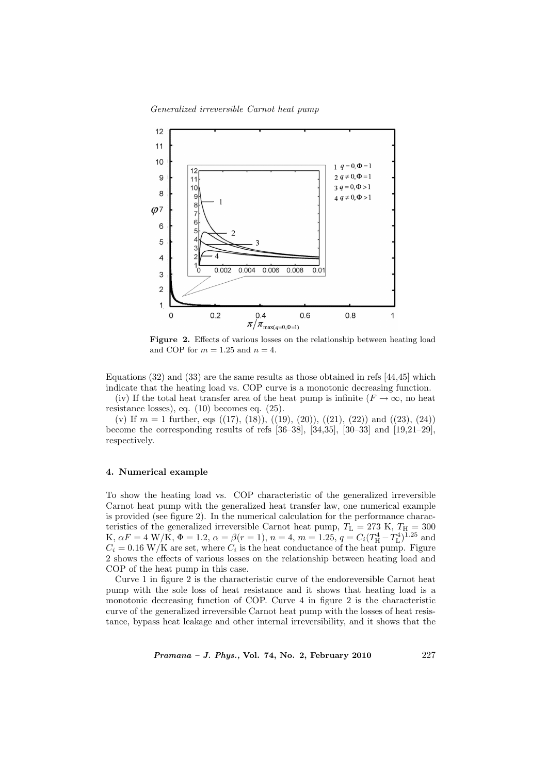Generalized irreversible Carnot heat pump



Figure 2. Effects of various losses on the relationship between heating load and COP for  $m = 1.25$  and  $n = 4$ .

Equations (32) and (33) are the same results as those obtained in refs [44,45] which indicate that the heating load vs. COP curve is a monotonic decreasing function.

(iv) If the total heat transfer area of the heat pump is infinite ( $F \to \infty$ , no heat resistance losses), eq. (10) becomes eq. (25).

(v) If  $m = 1$  further, eqs ((17), (18)), ((19), (20)), ((21), (22)) and ((23), (24)) become the corresponding results of refs [36–38], [34,35], [30–33] and [19,21–29], respectively.

# 4. Numerical example

To show the heating load vs. COP characteristic of the generalized irreversible Carnot heat pump with the generalized heat transfer law, one numerical example is provided (see figure 2). In the numerical calculation for the performance characteristics of the generalized irreversible Carnot heat pump,  $T_L = 273$  K,  $T_H = 300$ K,  $\alpha F = 4$  W/K,  $\Phi = 1.2$ ,  $\alpha = \beta(r = 1)$ ,  $n = 4$ ,  $m = 1.25$ ,  $q = C_i (T_H^4 - T_L^4)^{1.25}$  and  $C_i = 0.16$  W/K are set, where  $C_i$  is the heat conductance of the heat pump. Figure 2 shows the effects of various losses on the relationship between heating load and COP of the heat pump in this case.

Curve 1 in figure 2 is the characteristic curve of the endoreversible Carnot heat pump with the sole loss of heat resistance and it shows that heating load is a monotonic decreasing function of COP. Curve 4 in figure 2 is the characteristic curve of the generalized irreversible Carnot heat pump with the losses of heat resistance, bypass heat leakage and other internal irreversibility, and it shows that the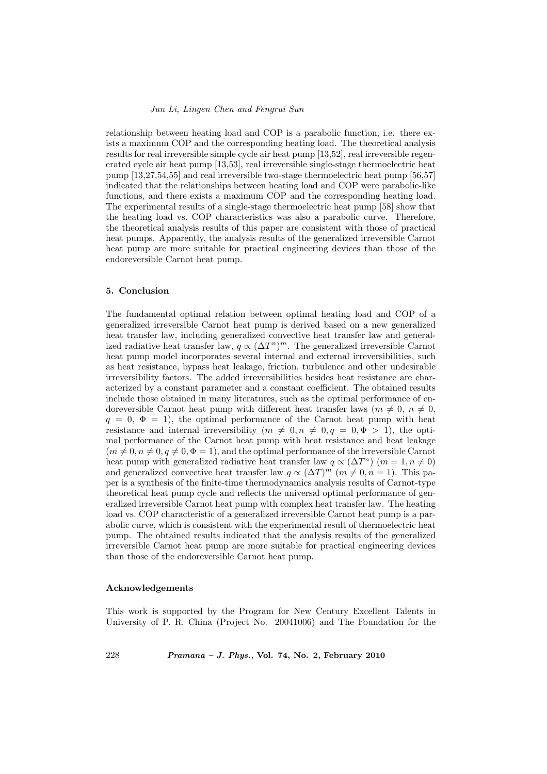relationship between heating load and COP is a parabolic function, i.e. there exists a maximum COP and the corresponding heating load. The theoretical analysis results for real irreversible simple cycle air heat pump [13,52], real irreversible regenerated cycle air heat pump [13,53], real irreversible single-stage thermoelectric heat pump [13,27,54,55] and real irreversible two-stage thermoelectric heat pump [56,57] indicated that the relationships between heating load and COP were parabolic-like functions, and there exists a maximum COP and the corresponding heating load. The experimental results of a single-stage thermoelectric heat pump [58] show that the heating load vs. COP characteristics was also a parabolic curve. Therefore, the theoretical analysis results of this paper are consistent with those of practical heat pumps. Apparently, the analysis results of the generalized irreversible Carnot heat pump are more suitable for practical engineering devices than those of the endoreversible Carnot heat pump.

## 5. Conclusion

The fundamental optimal relation between optimal heating load and COP of a generalized irreversible Carnot heat pump is derived based on a new generalized heat transfer law, including generalized convective heat transfer law and generalized radiative heat transfer law,  $q \propto (\Delta T^n)^m$ . The generalized irreversible Carnot heat pump model incorporates several internal and external irreversibilities, such as heat resistance, bypass heat leakage, friction, turbulence and other undesirable irreversibility factors. The added irreversibilities besides heat resistance are characterized by a constant parameter and a constant coefficient. The obtained results include those obtained in many literatures, such as the optimal performance of endoreversible Carnot heat pump with different heat transfer laws ( $m \neq 0, n \neq 0$ ,  $q = 0, \Phi = 1$ , the optimal performance of the Carnot heat pump with heat resistance and internal irreversibility  $(m \neq 0, n \neq 0, q = 0, \Phi > 1)$ , the optimal performance of the Carnot heat pump with heat resistance and heat leakage  $(m \neq 0, n \neq 0, q \neq 0, \Phi = 1)$ , and the optimal performance of the irreversible Carnot heat pump with generalized radiative heat transfer law  $q \propto (\Delta T^n)$   $(m = 1, n \neq 0)$ and generalized convective heat transfer law  $q \propto (\Delta T)^m$   $(m \neq 0, n = 1)$ . This paper is a synthesis of the finite-time thermodynamics analysis results of Carnot-type theoretical heat pump cycle and reflects the universal optimal performance of generalized irreversible Carnot heat pump with complex heat transfer law. The heating load vs. COP characteristic of a generalized irreversible Carnot heat pump is a parabolic curve, which is consistent with the experimental result of thermoelectric heat pump. The obtained results indicated that the analysis results of the generalized irreversible Carnot heat pump are more suitable for practical engineering devices than those of the endoreversible Carnot heat pump.

#### Acknowledgements

This work is supported by the Program for New Century Excellent Talents in University of P. R. China (Project No. 20041006) and The Foundation for the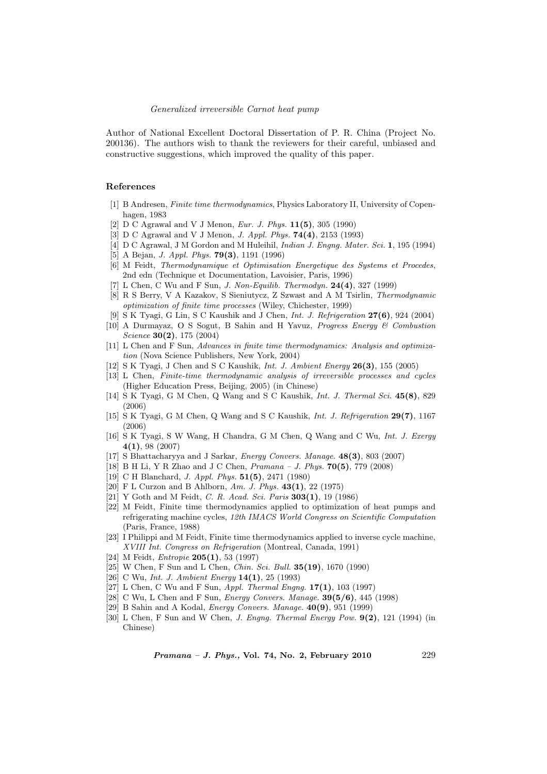Author of National Excellent Doctoral Dissertation of P. R. China (Project No. 200136). The authors wish to thank the reviewers for their careful, unbiased and constructive suggestions, which improved the quality of this paper.

# References

- [1] B Andresen, Finite time thermodynamics, Physics Laboratory II, University of Copenhagen, 1983
- [2] D C Agrawal and V J Menon, *Eur. J. Phys.* **11(5)**, 305 (1990)
- [3] D C Agrawal and V J Menon, *J. Appl. Phys.* **74(4)**, 2153 (1993)
- [4] D C Agrawal, J M Gordon and M Huleihil, *Indian J. Engng. Mater. Sci.* 1, 195 (1994)
- [5] A Bejan, *J. Appl. Phys.* **79(3)**, 1191 (1996)
- [6] M Feidt, Thermodynamique et Optimisation Energetique des Systems et Procedes, 2nd edn (Technique et Documentation, Lavoisier, Paris, 1996)
- [7] L Chen, C Wu and F Sun, *J. Non-Equilib. Thermodyn.* **24(4)**, 327 (1999)
- [8] R S Berry, V A Kazakov, S Sieniutycz, Z Szwast and A M Tsirlin, Thermodynamic optimization of finite time processes (Wiley, Chichester, 1999)
- [9] S K Tyagi, G Lin, S C Kaushik and J Chen, Int. J. Refrigeration 27(6), 924 (2004)
- [10] A Durmayaz, O S Sogut, B Sahin and H Yavuz, Progress Energy & Combustion Science 30(2), 175 (2004)
- [11] L Chen and F Sun, Advances in finite time thermodynamics: Analysis and optimization (Nova Science Publishers, New York, 2004)
- [12] S K Tyagi, J Chen and S C Kaushik, Int. J. Ambient Energy 26(3), 155 (2005)
- [13] L Chen, Finite-time thermodynamic analysis of irreversible processes and cycles (Higher Education Press, Beijing, 2005) (in Chinese)
- [14] S K Tyagi, G M Chen, Q Wang and S C Kaushik, Int. J. Thermal Sci. 45(8), 829 (2006)
- [15] S K Tyagi, G M Chen, Q Wang and S C Kaushik, Int. J. Refrigeration 29(7), 1167 (2006)
- [16] S K Tyagi, S W Wang, H Chandra, G M Chen, Q Wang and C Wu, Int. J. Exergy 4(1), 98 (2007)
- [17] S Bhattacharyya and J Sarkar, Energy Convers. Manage. 48(3), 803 (2007)
- [18] B H Li, Y R Zhao and J C Chen, Pramana J. Phys. 70(5), 779 (2008)
- [19] C H Blanchard, J. Appl. Phys. 51(5), 2471 (1980)
- [20] F L Curzon and B Ahlborn, Am. J. Phys.  $43(1)$ , 22 (1975)
- [21] Y Goth and M Feidt, C. R. Acad. Sci. Paris **303(1)**, 19 (1986)
- [22] M Feidt, Finite time thermodynamics applied to optimization of heat pumps and refrigerating machine cycles, 12th IMACS World Congress on Scientific Computation (Paris, France, 1988)
- [23] I Philippi and M Feidt, Finite time thermodynamics applied to inverse cycle machine, XVIII Int. Congress on Refrigeration (Montreal, Canada, 1991)
- [24] M Feidt, *Entropie* **205(1)**, 53 (1997)
- [25] W Chen, F Sun and L Chen, *Chin. Sci. Bull.* **35(19)**, 1670 (1990)
- [26] C Wu, Int. J. Ambient Energy 14(1), 25 (1993)
- [27] L Chen, C Wu and F Sun, Appl. Thermal Engng. 17(1), 103 (1997)
- [28] C Wu, L Chen and F Sun, Energy Convers. Manage. 39(5/6), 445 (1998)
- [29] B Sahin and A Kodal, *Energy Convers. Manage.* 40(9), 951 (1999)
- [30] L Chen, F Sun and W Chen, J. Engng. Thermal Energy Pow. 9(2), 121 (1994) (in Chinese)